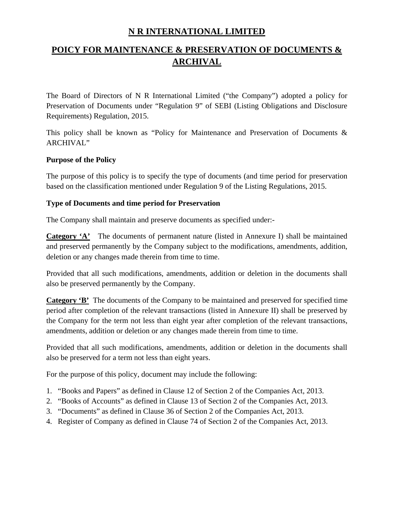## **N R INTERNATIONAL LIMITED**

# **POICY FOR MAINTENANCE & PRESERVATION OF DOCUMENTS & ARCHIVAL**

The Board of Directors of N R International Limited ("the Company") adopted a policy for Preservation of Documents under "Regulation 9" of SEBI (Listing Obligations and Disclosure Requirements) Regulation, 2015.

This policy shall be known as "Policy for Maintenance and Preservation of Documents & ARCHIVAL"

#### **Purpose of the Policy**

The purpose of this policy is to specify the type of documents (and time period for preservation based on the classification mentioned under Regulation 9 of the Listing Regulations, 2015.

## **Type of Documents and time period for Preservation**

The Company shall maintain and preserve documents as specified under:-

**Category 'A'** The documents of permanent nature (listed in Annexure I) shall be maintained and preserved permanently by the Company subject to the modifications, amendments, addition, deletion or any changes made therein from time to time.

Provided that all such modifications, amendments, addition or deletion in the documents shall also be preserved permanently by the Company.

**Category 'B'** The documents of the Company to be maintained and preserved for specified time period after completion of the relevant transactions (listed in Annexure II) shall be preserved by the Company for the term not less than eight year after completion of the relevant transactions, amendments, addition or deletion or any changes made therein from time to time.

Provided that all such modifications, amendments, addition or deletion in the documents shall also be preserved for a term not less than eight years.

For the purpose of this policy, document may include the following:

- 1. "Books and Papers" as defined in Clause 12 of Section 2 of the Companies Act, 2013.
- 2. "Books of Accounts" as defined in Clause 13 of Section 2 of the Companies Act, 2013.
- 3. "Documents" as defined in Clause 36 of Section 2 of the Companies Act, 2013.
- 4. Register of Company as defined in Clause 74 of Section 2 of the Companies Act, 2013.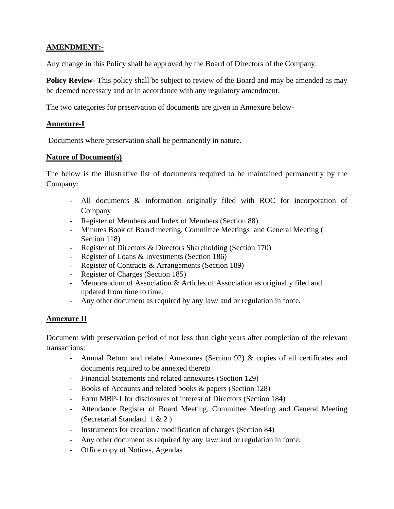## **AMENDMENT:-**

Any change in this Policy shall be approved by the Board of Directors of the Company.

**Policy Review-** This policy shall be subject to review of the Board and may be amended as may be deemed necessary and or in accordance with any regulatory amendment.

The two categories for preservation of documents are given in Annexure below-

#### **Annexure-I**

Documents where preservation shall be permanently in nature.

#### **Nature of Document(s)**

The below is the illustrative list of documents required to be maintained permanently by the Company:

- All documents & information originally filed with ROC for incorporation of Company
- Register of Members and Index of Members (Section 88)
- Minutes Book of Board meeting, Committee Meetings and General Meeting ( Section 118)
- Register of Directors & Directors Shareholding (Section 170)
- Register of Loans & Investments (Section 186)
- Register of Contracts & Arrangements (Section 189)
- Register of Charges (Section 185)
- Memorandum of Association & Articles of Association as originally filed and updated from time to time.
- Any other document as required by any law/ and or regulation in force.

#### **Annexure II**

Document with preservation period of not less than eight years after completion of the relevant transactions:

- Annual Return and related Annexures (Section 92) & copies of all certificates and documents required to be annexed thereto
- Financial Statements and related annexures (Section 129)
- Books of Accounts and related books & papers (Section 128)
- Form MBP-1 for disclosures of interest of Directors (Section 184)
- Attendance Register of Board Meeting, Committee Meeting and General Meeting (Secretarial Standard 1 & 2 )
- Instruments for creation / modification of charges (Section 84)
- Any other document as required by any law/ and or regulation in force.
- Office copy of Notices, Agendas